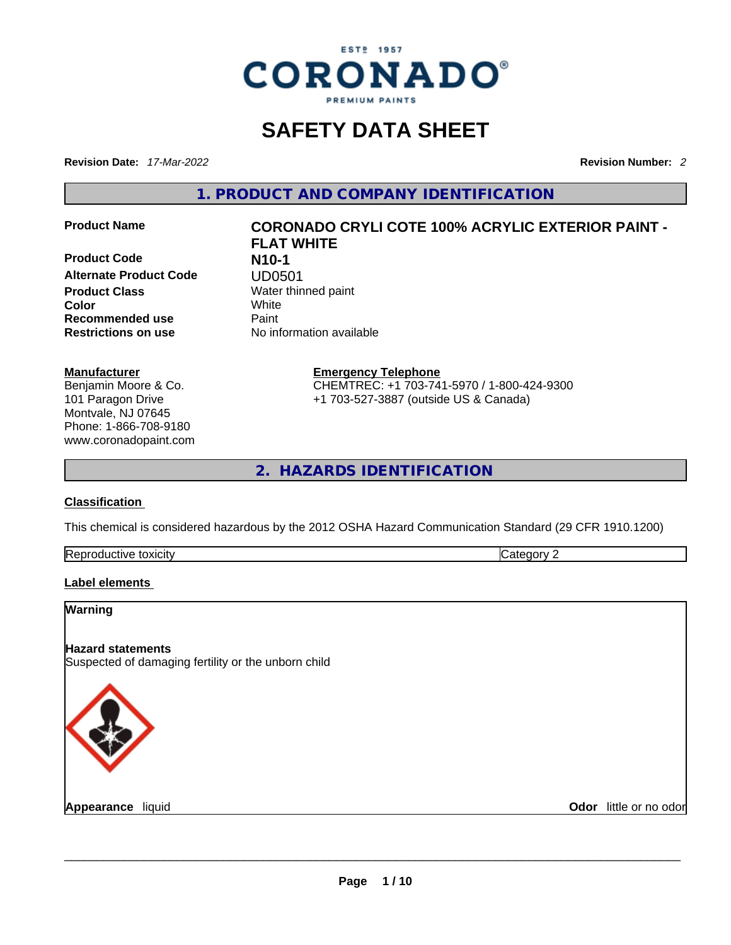

## **SAFETY DATA SHEET**

**Revision Date:** *17-Mar-2022* **Revision Number:** *2*

**1. PRODUCT AND COMPANY IDENTIFICATION** 

**Product Code N10-1 Alternate Product Code UD0501**<br> **Product Class** Water thin **Color** White **Recommended use** Paint **Restrictions on use** No information available

# **Product Name CORONADO CRYLI COTE 100% ACRYLIC EXTERIOR PAINT - FLAT WHITE Water thinned paint**

**Manufacturer** Benjamin Moore & Co. 101 Paragon Drive Montvale, NJ 07645 Phone: 1-866-708-9180 www.coronadopaint.com **Emergency Telephone** CHEMTREC: +1 703-741-5970 / 1-800-424-9300 +1 703-527-3887 (outside US & Canada)

**2. HAZARDS IDENTIFICATION** 

#### **Classification**

This chemical is considered hazardous by the 2012 OSHA Hazard Communication Standard (29 CFR 1910.1200)

#### **Label elements**

| <b>Warning</b>                                                                  |                        |
|---------------------------------------------------------------------------------|------------------------|
| <b>Hazard statements</b><br>Suspected of damaging fertility or the unborn child |                        |
|                                                                                 |                        |
| Appearance liquid                                                               | Odor little or no odor |
|                                                                                 |                        |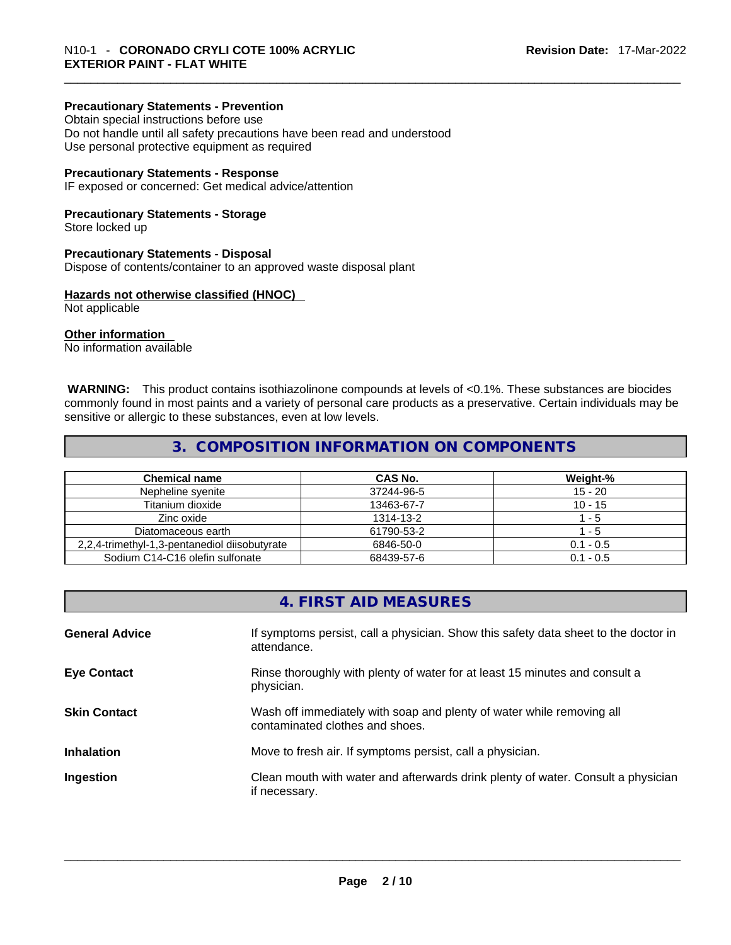#### **Precautionary Statements - Prevention**

Obtain special instructions before use Do not handle until all safety precautions have been read and understood Use personal protective equipment as required

#### **Precautionary Statements - Response**

IF exposed or concerned: Get medical advice/attention

#### **Precautionary Statements - Storage**

Store locked up

#### **Precautionary Statements - Disposal**

Dispose of contents/container to an approved waste disposal plant

#### **Hazards not otherwise classified (HNOC)**

Not applicable

#### **Other information**

No information available

 **WARNING:** This product contains isothiazolinone compounds at levels of <0.1%. These substances are biocides commonly found in most paints and a variety of personal care products as a preservative. Certain individuals may be sensitive or allergic to these substances, even at low levels.

## **3. COMPOSITION INFORMATION ON COMPONENTS**

| <b>Chemical name</b>                          | CAS No.    | Weight-%    |
|-----------------------------------------------|------------|-------------|
| Nepheline syenite                             | 37244-96-5 | $15 - 20$   |
| Titanium dioxide                              | 13463-67-7 | $10 - 15$   |
| Zinc oxide                                    | 1314-13-2  | - 5         |
| Diatomaceous earth                            | 61790-53-2 | $-5$        |
| 2,2,4-trimethyl-1,3-pentanediol diisobutyrate | 6846-50-0  | $0.1 - 0.5$ |
| Sodium C14-C16 olefin sulfonate               | 68439-57-6 | $0.1 - 0.5$ |

## **4. FIRST AID MEASURES**

| <b>General Advice</b> | If symptoms persist, call a physician. Show this safety data sheet to the doctor in<br>attendance.       |
|-----------------------|----------------------------------------------------------------------------------------------------------|
| <b>Eye Contact</b>    | Rinse thoroughly with plenty of water for at least 15 minutes and consult a<br>physician.                |
| <b>Skin Contact</b>   | Wash off immediately with soap and plenty of water while removing all<br>contaminated clothes and shoes. |
| <b>Inhalation</b>     | Move to fresh air. If symptoms persist, call a physician.                                                |
| Ingestion             | Clean mouth with water and afterwards drink plenty of water. Consult a physician<br>if necessary.        |
|                       |                                                                                                          |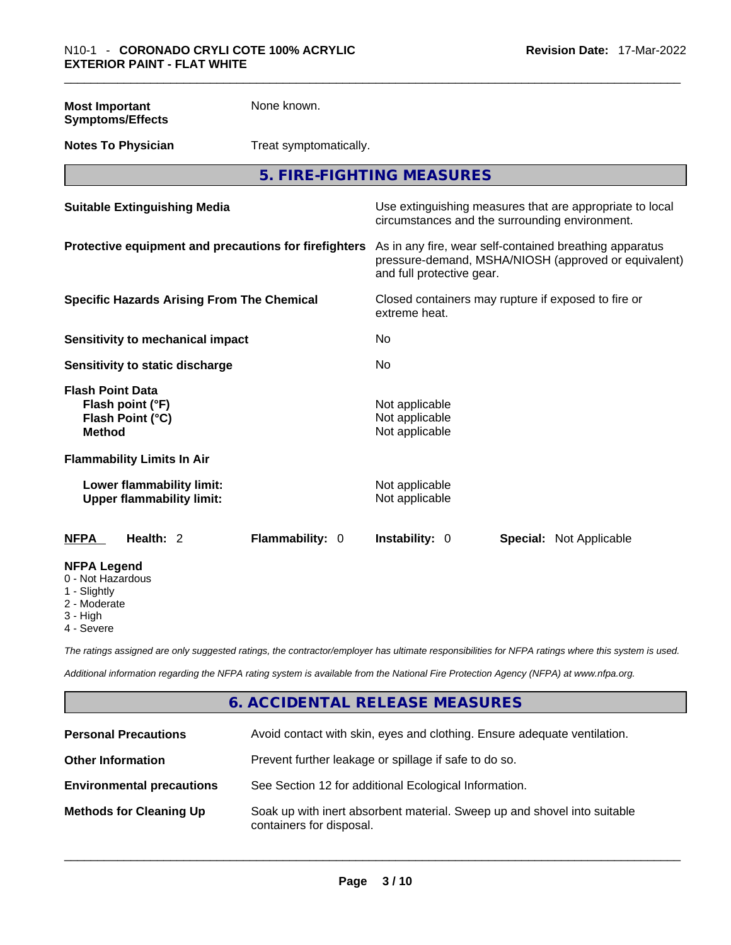| <b>Most Important</b><br><b>Symptoms/Effects</b>                                 | None known.            |                                                                      |                                                                                                                 |
|----------------------------------------------------------------------------------|------------------------|----------------------------------------------------------------------|-----------------------------------------------------------------------------------------------------------------|
| <b>Notes To Physician</b>                                                        | Treat symptomatically. |                                                                      |                                                                                                                 |
|                                                                                  |                        | 5. FIRE-FIGHTING MEASURES                                            |                                                                                                                 |
| <b>Suitable Extinguishing Media</b>                                              |                        | circumstances and the surrounding environment.                       | Use extinguishing measures that are appropriate to local                                                        |
| Protective equipment and precautions for firefighters                            |                        | and full protective gear.                                            | As in any fire, wear self-contained breathing apparatus<br>pressure-demand, MSHA/NIOSH (approved or equivalent) |
| <b>Specific Hazards Arising From The Chemical</b>                                |                        | Closed containers may rupture if exposed to fire or<br>extreme heat. |                                                                                                                 |
| <b>Sensitivity to mechanical impact</b>                                          |                        | No.                                                                  |                                                                                                                 |
| Sensitivity to static discharge                                                  |                        | No                                                                   |                                                                                                                 |
| <b>Flash Point Data</b><br>Flash point (°F)<br>Flash Point (°C)<br><b>Method</b> |                        | Not applicable<br>Not applicable<br>Not applicable                   |                                                                                                                 |
| <b>Flammability Limits In Air</b>                                                |                        |                                                                      |                                                                                                                 |
| Lower flammability limit:<br><b>Upper flammability limit:</b>                    |                        | Not applicable<br>Not applicable                                     |                                                                                                                 |
| Health: 2<br><b>NFPA</b>                                                         | Flammability: 0        | Instability: 0                                                       | <b>Special: Not Applicable</b>                                                                                  |
| <b>NFPA Legend</b><br>0 - Not Hazardous<br>1 - Slightly                          |                        |                                                                      |                                                                                                                 |

- 
- 2 Moderate
- 3 High
- 4 Severe

*The ratings assigned are only suggested ratings, the contractor/employer has ultimate responsibilities for NFPA ratings where this system is used.* 

*Additional information regarding the NFPA rating system is available from the National Fire Protection Agency (NFPA) at www.nfpa.org.* 

## **6. ACCIDENTAL RELEASE MEASURES**

| <b>Personal Precautions</b>      | Avoid contact with skin, eyes and clothing. Ensure adequate ventilation.                             |
|----------------------------------|------------------------------------------------------------------------------------------------------|
| <b>Other Information</b>         | Prevent further leakage or spillage if safe to do so.                                                |
| <b>Environmental precautions</b> | See Section 12 for additional Ecological Information.                                                |
| <b>Methods for Cleaning Up</b>   | Soak up with inert absorbent material. Sweep up and shovel into suitable<br>containers for disposal. |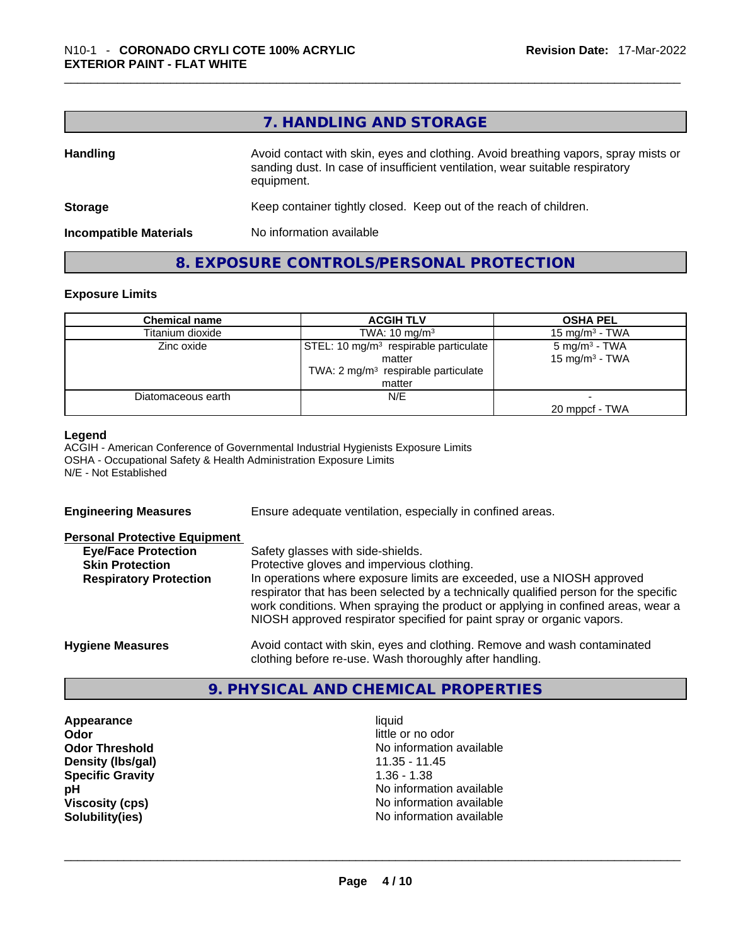## **7. HANDLING AND STORAGE**

| <b>Handling</b>               | Avoid contact with skin, eyes and clothing. Avoid breathing vapors, spray mists or<br>sanding dust. In case of insufficient ventilation, wear suitable respiratory<br>equipment. |
|-------------------------------|----------------------------------------------------------------------------------------------------------------------------------------------------------------------------------|
| <b>Storage</b>                | Keep container tightly closed. Keep out of the reach of children.                                                                                                                |
| <b>Incompatible Materials</b> | No information available                                                                                                                                                         |

#### **8. EXPOSURE CONTROLS/PERSONAL PROTECTION**

#### **Exposure Limits**

| <b>Chemical name</b> | <b>ACGIH TLV</b>                                  | <b>OSHA PEL</b>            |
|----------------------|---------------------------------------------------|----------------------------|
| Titanium dioxide     | TWA: $10 \text{ mg/m}^3$                          | 15 mg/m $3$ - TWA          |
| Zinc oxide           | STEL: 10 mg/m <sup>3</sup> respirable particulate | $5 \text{ mg/m}^3$ - TWA   |
|                      | matter                                            | 15 mg/m <sup>3</sup> - TWA |
|                      | TWA: $2 \text{ mg/m}^3$ respirable particulate    |                            |
|                      | matter                                            |                            |
| Diatomaceous earth   | N/E                                               |                            |
|                      |                                                   | 20 mppcf - TWA             |

#### **Legend**

ACGIH - American Conference of Governmental Industrial Hygienists Exposure Limits OSHA - Occupational Safety & Health Administration Exposure Limits N/E - Not Established

| <b>Engineering Measures</b>                          | Ensure adequate ventilation, especially in confined areas.                                                                                                                                                                                                                                                                   |
|------------------------------------------------------|------------------------------------------------------------------------------------------------------------------------------------------------------------------------------------------------------------------------------------------------------------------------------------------------------------------------------|
| <b>Personal Protective Equipment</b>                 |                                                                                                                                                                                                                                                                                                                              |
| <b>Eye/Face Protection</b><br><b>Skin Protection</b> | Safety glasses with side-shields.<br>Protective gloves and impervious clothing.                                                                                                                                                                                                                                              |
| <b>Respiratory Protection</b>                        | In operations where exposure limits are exceeded, use a NIOSH approved<br>respirator that has been selected by a technically qualified person for the specific<br>work conditions. When spraying the product or applying in confined areas, wear a<br>NIOSH approved respirator specified for paint spray or organic vapors. |
| <b>Hygiene Measures</b>                              | Avoid contact with skin, eyes and clothing. Remove and wash contaminated<br>clothing before re-use. Wash thoroughly after handling.                                                                                                                                                                                          |

## **9. PHYSICAL AND CHEMICAL PROPERTIES**

**Appearance** liquid **Odor Odor Odor Odor Odor Odor** *little or no odor little or no odor little or no odor* **Density (Ibs/gal)** 11.35 - 11.35 - 11.35 - 11.35 - 11.35 - 11.35 - 11.35 - 11.35 - 11.35 - 11.38 **Specific Gravity** 

**Odor Threshold**<br> **Density (Ibs/gal)**<br> **Density (Ibs/gal)**<br> **Compared Alta Compared Alta Compared Alta Compared Alta Compared Alta Compared Alta Compared Alta Compared Alta Compared Alta Compared Alta Compared Alta Compare pH pH No** information available **Viscosity (cps) Viscosity (cps) No information available Solubility(ies)** No information available \_\_\_\_\_\_\_\_\_\_\_\_\_\_\_\_\_\_\_\_\_\_\_\_\_\_\_\_\_\_\_\_\_\_\_\_\_\_\_\_\_\_\_\_\_\_\_\_\_\_\_\_\_\_\_\_\_\_\_\_\_\_\_\_\_\_\_\_\_\_\_\_\_\_\_\_\_\_\_\_\_\_\_\_\_\_\_\_\_\_\_\_\_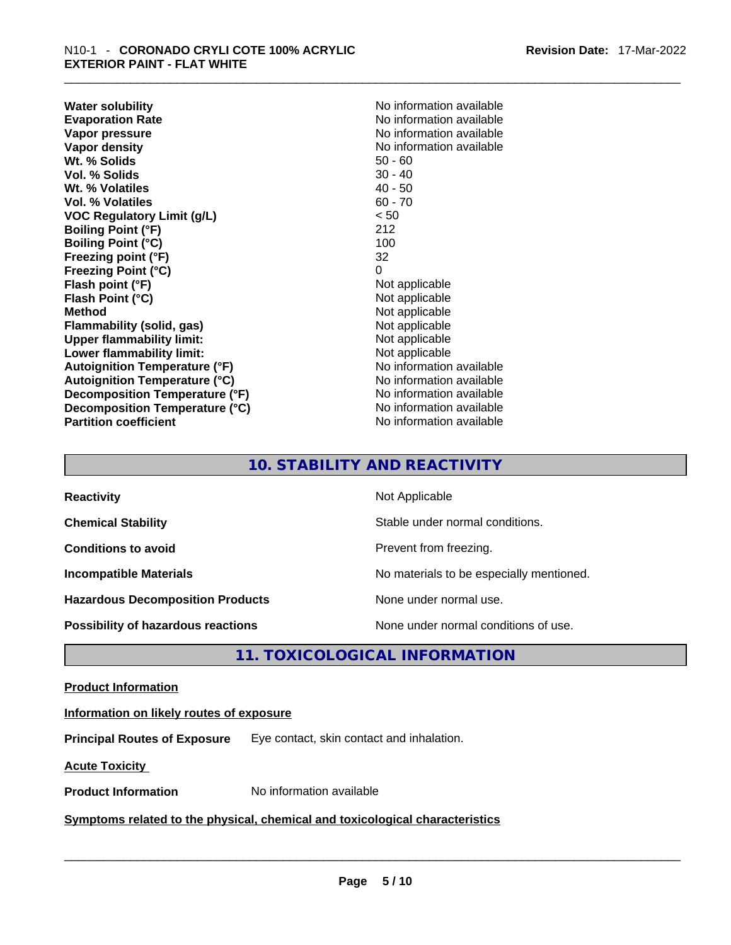**Water solubility Water solubility No information available Evaporation Rate Note 2008 No information available Note 2008 No information available Vapor pressure**  No information available **Vapor pressure No information available Vapor density No information available No information available Wt. % Solids** 50 - 60 **Vol. % Solids** 30 - 40 Wt. % Volatiles **Vol. % Volatiles** 60 - 70 **VOC Regulatory Limit (g/L)** < 50 **Boiling Point (°F)** 212 **Boiling Point (°C)** 100<br> **Preezing point (°F)** 22 **Freezing point (°F) Freezing Point (°C)** 0 **Flash point (°F)** Not applicable **Flash Point (°C)** Not applicable **Method Not applicable Not applicable Flammability (solid, gas)** Not applicable **Upper flammability limit:** Not applicable **Lower flammability limit:** Not applicable **Autoignition Temperature (°F)** No information available **Autoignition Temperature (°C)** No information available **Decomposition Temperature (°F)** No information available **Decomposition Temperature (°C)** No information available **Partition coefficient** No information available

## **10. STABILITY AND REACTIVITY**

| <b>Reactivity</b>                         | Not Applicable                           |
|-------------------------------------------|------------------------------------------|
| <b>Chemical Stability</b>                 | Stable under normal conditions.          |
| <b>Conditions to avoid</b>                | Prevent from freezing.                   |
| <b>Incompatible Materials</b>             | No materials to be especially mentioned. |
| <b>Hazardous Decomposition Products</b>   | None under normal use.                   |
| <b>Possibility of hazardous reactions</b> | None under normal conditions of use.     |

## **11. TOXICOLOGICAL INFORMATION**

#### **Product Information**

#### **Information on likely routes of exposure**

**Principal Routes of Exposure** Eye contact, skin contact and inhalation.

**Acute Toxicity** 

## **Product Information** No information available \_\_\_\_\_\_\_\_\_\_\_\_\_\_\_\_\_\_\_\_\_\_\_\_\_\_\_\_\_\_\_\_\_\_\_\_\_\_\_\_\_\_\_\_\_\_\_\_\_\_\_\_\_\_\_\_\_\_\_\_\_\_\_\_\_\_\_\_\_\_\_\_\_\_\_\_\_\_\_\_\_\_\_\_\_\_\_\_\_\_\_\_\_ **Symptoms related** to the physical, chemical and toxicological characteristics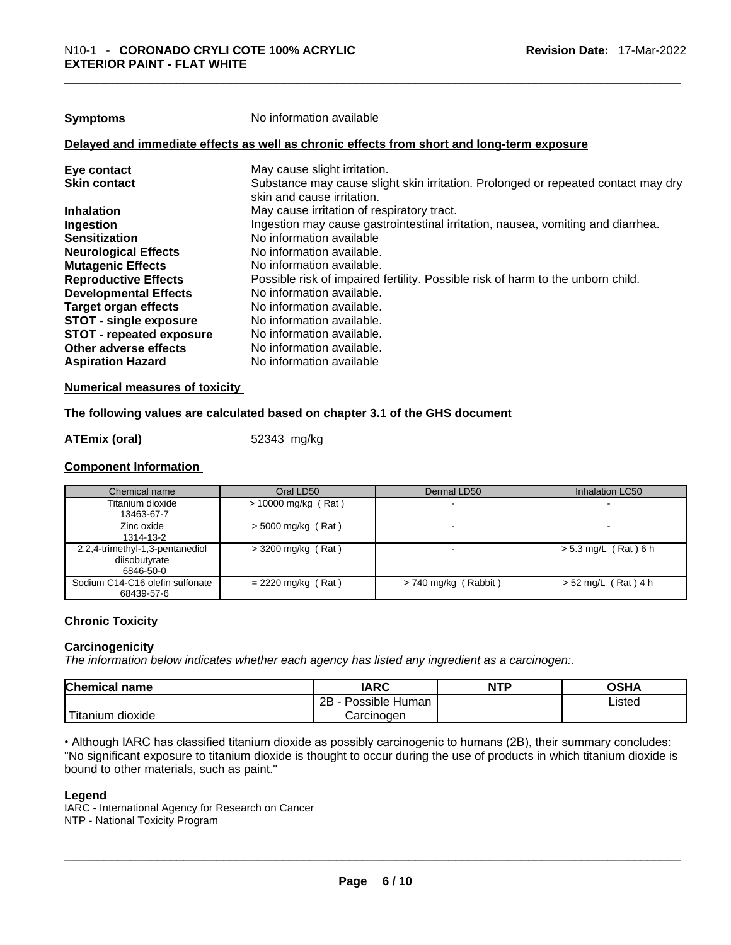| <b>Symptoms</b> |
|-----------------|
|-----------------|

**Symptoms** No information available

#### **Delayed and immediate effects as well as chronic effects from short and long-term exposure**

| Eye contact                     | May cause slight irritation.                                                                                    |
|---------------------------------|-----------------------------------------------------------------------------------------------------------------|
| <b>Skin contact</b>             | Substance may cause slight skin irritation. Prolonged or repeated contact may dry<br>skin and cause irritation. |
| <b>Inhalation</b>               | May cause irritation of respiratory tract.                                                                      |
| Ingestion                       | Ingestion may cause gastrointestinal irritation, nausea, vomiting and diarrhea.                                 |
| <b>Sensitization</b>            | No information available                                                                                        |
| <b>Neurological Effects</b>     | No information available.                                                                                       |
| <b>Mutagenic Effects</b>        | No information available.                                                                                       |
| <b>Reproductive Effects</b>     | Possible risk of impaired fertility. Possible risk of harm to the unborn child.                                 |
| <b>Developmental Effects</b>    | No information available.                                                                                       |
| Target organ effects            | No information available.                                                                                       |
| <b>STOT - single exposure</b>   | No information available.                                                                                       |
| <b>STOT - repeated exposure</b> | No information available.                                                                                       |
| Other adverse effects           | No information available.                                                                                       |
| <b>Aspiration Hazard</b>        | No information available                                                                                        |

#### **Numerical measures of toxicity**

#### **The following values are calculated based on chapter 3.1 of the GHS document**

#### **ATEmix (oral)** 52343 mg/kg

#### **Component Information**

| Chemical name                                                 | Oral LD50             | Dermal LD50            | Inhalation LC50        |
|---------------------------------------------------------------|-----------------------|------------------------|------------------------|
| Titanium dioxide<br>13463-67-7                                | $> 10000$ mg/kg (Rat) | -                      | -                      |
| Zinc oxide<br>1314-13-2                                       | $>$ 5000 mg/kg (Rat)  |                        |                        |
| 2,2,4-trimethyl-1,3-pentanediol<br>diisobutyrate<br>6846-50-0 | $>$ 3200 mg/kg (Rat)  |                        | $> 5.3$ mg/L (Rat) 6 h |
| Sodium C14-C16 olefin sulfonate<br>68439-57-6                 | $= 2220$ mg/kg (Rat)  | $> 740$ mg/kg (Rabbit) | $> 52$ mg/L (Rat) 4 h  |

#### **Chronic Toxicity**

#### **Carcinogenicity**

*The information below indicates whether each agency has listed any ingredient as a carcinogen:.* 

| <b>Chemical name</b>     | <b>IARC</b>          | <b>NTP</b> | OSHA   |
|--------------------------|----------------------|------------|--------|
|                          | 2B<br>Possible Human |            | ∟isted |
| ÷.<br>dioxide<br>itanium | Carcinogen           |            |        |

• Although IARC has classified titanium dioxide as possibly carcinogenic to humans (2B), their summary concludes: "No significant exposure to titanium dioxide is thought to occur during the use of products in which titanium dioxide is bound to other materials, such as paint." \_\_\_\_\_\_\_\_\_\_\_\_\_\_\_\_\_\_\_\_\_\_\_\_\_\_\_\_\_\_\_\_\_\_\_\_\_\_\_\_\_\_\_\_\_\_\_\_\_\_\_\_\_\_\_\_\_\_\_\_\_\_\_\_\_\_\_\_\_\_\_\_\_\_\_\_\_\_\_\_\_\_\_\_\_\_\_\_\_\_\_\_\_

#### **Legend**

IARC - International Agency for Research on Cancer NTP - National Toxicity Program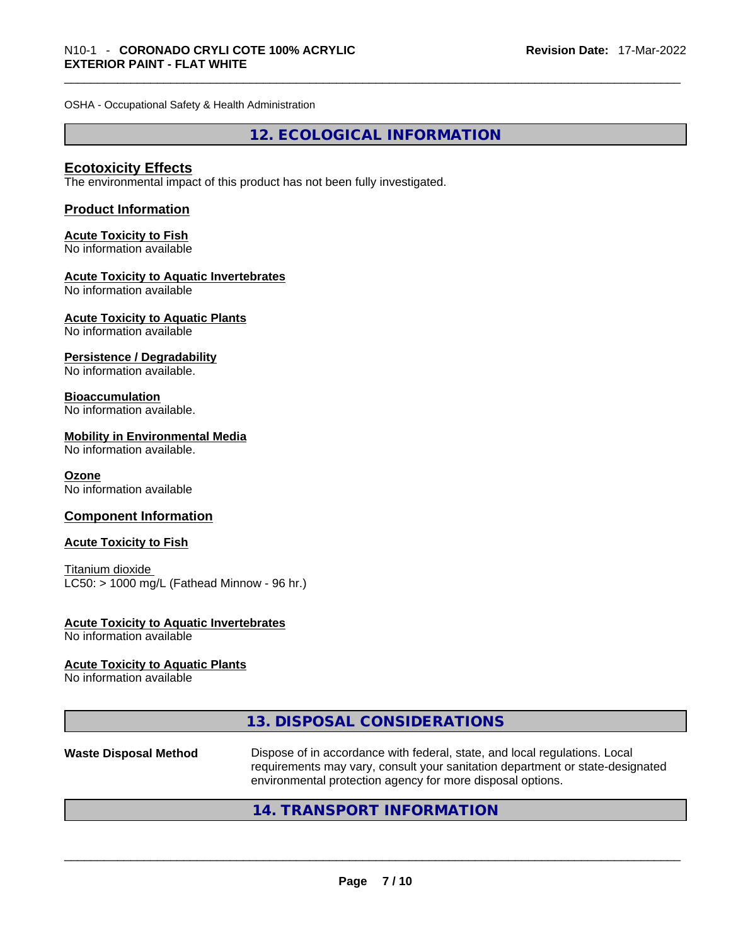OSHA - Occupational Safety & Health Administration

**12. ECOLOGICAL INFORMATION** 

#### **Ecotoxicity Effects**

The environmental impact of this product has not been fully investigated.

#### **Product Information**

## **Acute Toxicity to Fish**

No information available

#### **Acute Toxicity to Aquatic Invertebrates**

No information available

## **Acute Toxicity to Aquatic Plants**

No information available

#### **Persistence / Degradability**

No information available.

#### **Bioaccumulation**

No information available.

#### **Mobility in Environmental Media**

No information available.

#### **Ozone**

No information available

#### **Component Information**

#### **Acute Toxicity to Fish**

Titanium dioxide  $LC50:$  > 1000 mg/L (Fathead Minnow - 96 hr.)

## **Acute Toxicity to Aquatic Invertebrates**

No information available

#### **Acute Toxicity to Aquatic Plants**

No information available

|  | 13. DISPOSAL CONSIDERATIONS |
|--|-----------------------------|
|--|-----------------------------|

# **Waste Disposal Method** Dispose of in accordance with federal, state, and local regulations. Local requirements may vary, consult your sanitation department or state-designated environmental protection agency for more disposal options.<br> $14. \text{ TRANSPORT INFORMATION}$

## **14. TRANSPORT INFORMATION**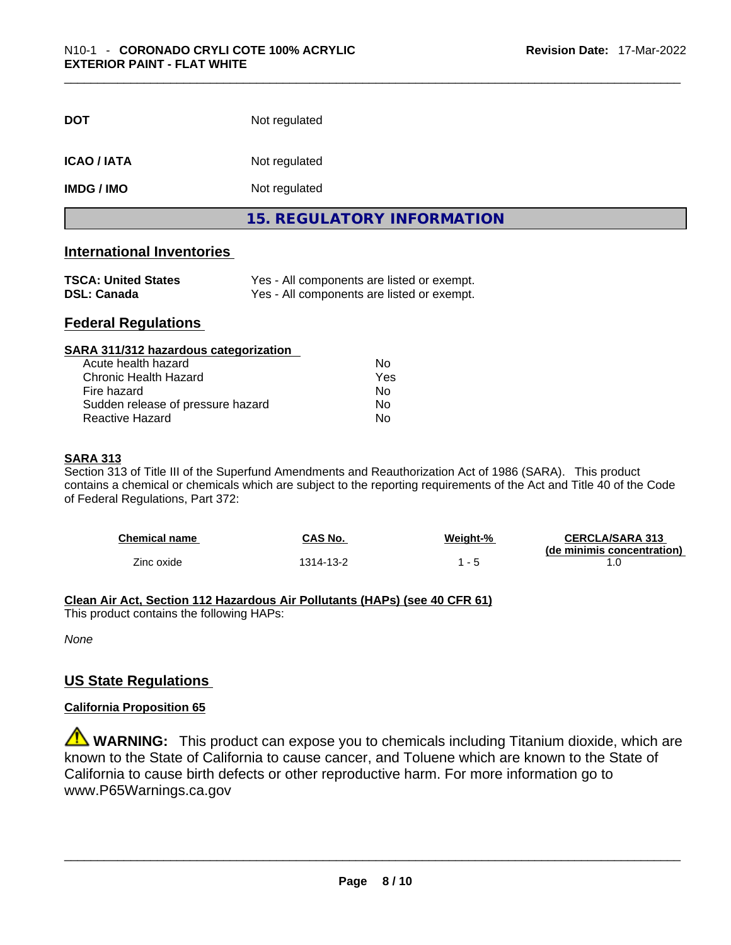| <b>DOT</b>         | Not regulated                     |  |
|--------------------|-----------------------------------|--|
| <b>ICAO / IATA</b> | Not regulated                     |  |
| <b>IMDG / IMO</b>  | Not regulated                     |  |
|                    | <b>15. REGULATORY INFORMATION</b> |  |

#### **International Inventories**

| <b>TSCA: United States</b> | Yes - All components are listed or exempt. |
|----------------------------|--------------------------------------------|
| <b>DSL: Canada</b>         | Yes - All components are listed or exempt. |

#### **Federal Regulations**

| SARA 311/312 hazardous categorization |                |  |
|---------------------------------------|----------------|--|
| Acute health hazard                   | Nο             |  |
| <b>Chronic Health Hazard</b>          | Yes            |  |
| Fire hazard                           | N <sub>0</sub> |  |
| Sudden release of pressure hazard     | Nο             |  |
| Reactive Hazard                       | No             |  |

#### **SARA 313**

Section 313 of Title III of the Superfund Amendments and Reauthorization Act of 1986 (SARA). This product contains a chemical or chemicals which are subject to the reporting requirements of the Act and Title 40 of the Code of Federal Regulations, Part 372:

| <b>Chemical name</b> | CAS No.   | Weight-%    | <b>CERCLA/SARA 313</b>     |
|----------------------|-----------|-------------|----------------------------|
|                      |           |             | (de minimis concentration) |
| Zinc oxide           | 1314-13-2 | $ \epsilon$ |                            |

#### **Clean Air Act,Section 112 Hazardous Air Pollutants (HAPs) (see 40 CFR 61)**

This product contains the following HAPs:

*None*

#### **US State Regulations**

#### **California Proposition 65**

**WARNING:** This product can expose you to chemicals including Titanium dioxide, which are known to the State of California to cause cancer, and Toluene which are known to the State of California to cause birth defects or other reproductive harm. For more information go to www.P65Warnings.ca.gov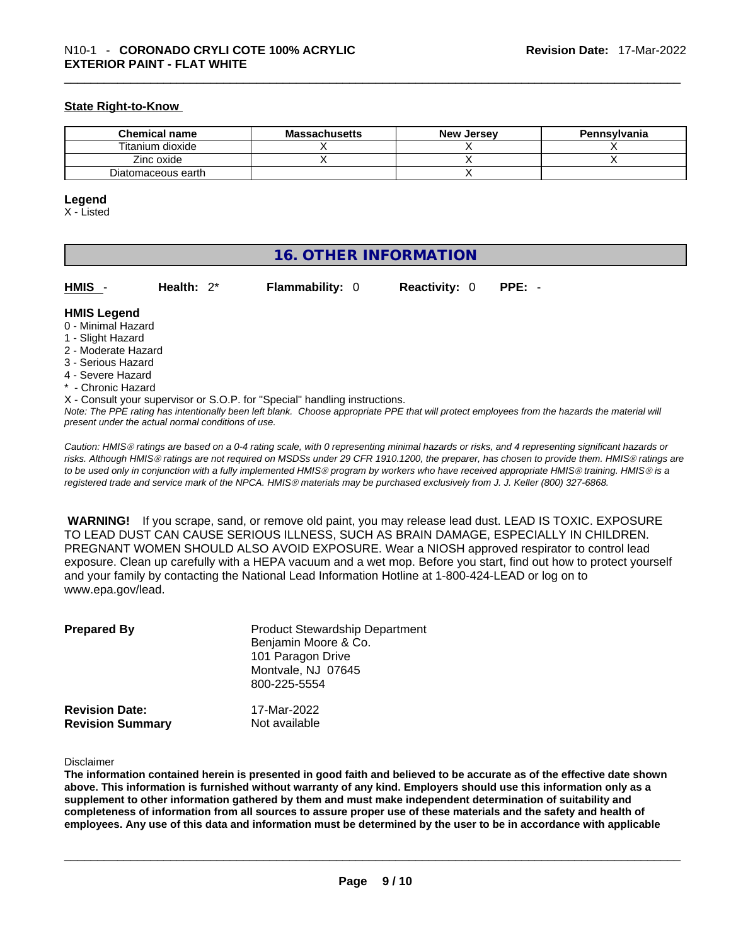#### **State Right-to-Know**

| <b>Chemical name</b> | <b>Massachusetts</b> | <b>New Jersey</b> | <b>Pennsylvania</b> |
|----------------------|----------------------|-------------------|---------------------|
| Titanium dioxide     |                      |                   |                     |
| Zinc oxide           |                      |                   |                     |
| Diatomaceous earth   |                      |                   |                     |

#### **Legend**

X - Listed

## **16. OTHER INFORMATION**

**HMIS** - **Health:** 2\* **Flammability:** 0 **Reactivity:** 0 **PPE:** -

#### **HMIS Legend**

- 0 Minimal Hazard
- 1 Slight Hazard
- 2 Moderate Hazard
- 3 Serious Hazard
- 4 Severe Hazard
- \* Chronic Hazard
- X Consult your supervisor or S.O.P. for "Special" handling instructions.

Note: The PPE rating has intentionally been left blank. Choose appropriate PPE that will protect employees from the hazards the material will *present under the actual normal conditions of use.* 

*Caution: HMISÒ ratings are based on a 0-4 rating scale, with 0 representing minimal hazards or risks, and 4 representing significant hazards or risks. Although HMISÒ ratings are not required on MSDSs under 29 CFR 1910.1200, the preparer, has chosen to provide them. HMISÒ ratings are to be used only in conjunction with a fully implemented HMISÒ program by workers who have received appropriate HMISÒ training. HMISÒ is a registered trade and service mark of the NPCA. HMISÒ materials may be purchased exclusively from J. J. Keller (800) 327-6868.* 

 **WARNING!** If you scrape, sand, or remove old paint, you may release lead dust. LEAD IS TOXIC. EXPOSURE TO LEAD DUST CAN CAUSE SERIOUS ILLNESS, SUCH AS BRAIN DAMAGE, ESPECIALLY IN CHILDREN. PREGNANT WOMEN SHOULD ALSO AVOID EXPOSURE.Wear a NIOSH approved respirator to control lead exposure. Clean up carefully with a HEPA vacuum and a wet mop. Before you start, find out how to protect yourself and your family by contacting the National Lead Information Hotline at 1-800-424-LEAD or log on to www.epa.gov/lead.

| <b>Prepared By</b>      | <b>Product Stewardship Department</b><br>Benjamin Moore & Co.<br>101 Paragon Drive<br>Montvale, NJ 07645<br>800-225-5554 |
|-------------------------|--------------------------------------------------------------------------------------------------------------------------|
| <b>Revision Date:</b>   | 17-Mar-2022                                                                                                              |
| <b>Revision Summary</b> | Not available                                                                                                            |

#### Disclaimer

The information contained herein is presented in good faith and believed to be accurate as of the effective date shown above. This information is furnished without warranty of any kind. Employers should use this information only as a **supplement to other information gathered by them and must make independent determination of suitability and** completeness of information from all sources to assure proper use of these materials and the safety and health of employees. Any use of this data and information must be determined by the user to be in accordance with applicable